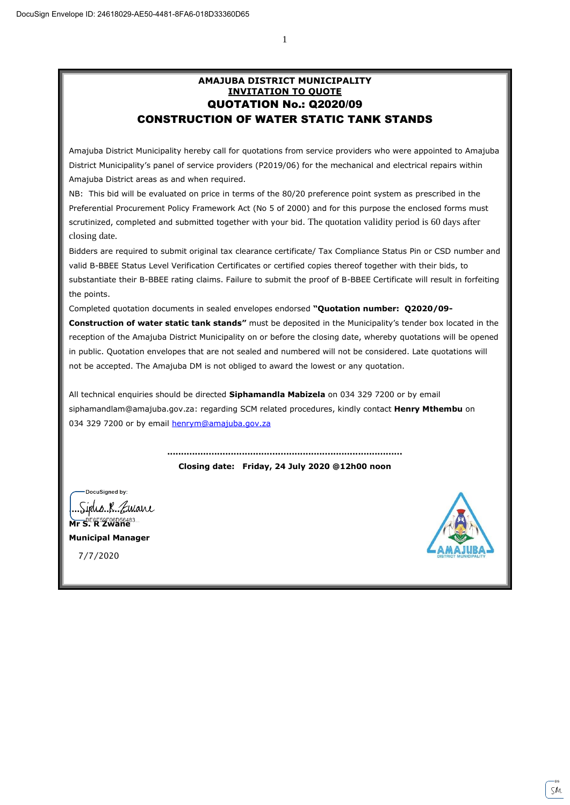1

## **AMAJUBA DISTRICT MUNICIPALITY INVITATION TO QUOTE** QUOTATION No.: Q2020/09 CONSTRUCTION OF WATER STATIC TANK STANDS

Amajuba District Municipality hereby call for quotations from service providers who were appointed to Amajuba District Municipality's panel of service providers (P2019/06) for the mechanical and electrical repairs within Amajuba District areas as and when required.

NB: This bid will be evaluated on price in terms of the 80/20 preference point system as prescribed in the Preferential Procurement Policy Framework Act (No 5 of 2000) and for this purpose the enclosed forms must scrutinized, completed and submitted together with your bid. The quotation validity period is 60 days after closing date.

Bidders are required to submit original tax clearance certificate/ Tax Compliance Status Pin or CSD number and valid B-BBEE Status Level Verification Certificates or certified copies thereof together with their bids, to substantiate their B-BBEE rating claims. Failure to submit the proof of B-BBEE Certificate will result in forfeiting the points.

Completed quotation documents in sealed envelopes endorsed **"Quotation number: Q2020/09-**

**Construction of water static tank stands"** must be deposited in the Municipality's tender box located in the reception of the Amajuba District Municipality on or before the closing date, whereby quotations will be opened in public. Quotation envelopes that are not sealed and numbered will not be considered. Late quotations will not be accepted. The Amajuba DM is not obliged to award the lowest or any quotation.

All technical enquiries should be directed **Siphamandla Mabizela** on 034 329 7200 or by email siphamandlam@amajuba.gov.za: regarding SCM related procedures, kindly contact **Henry Mthembu** on 034 329 7200 or by email [henrym@amajuba.gov.za](mailto:henrym@amajuba.gov.za)

> **..................................................................................... Closing date: Friday, 24 July 2020 @12h00 noon**

DocuSianed by:

<u>Siphs R. Zwane</u> **Mr S. R Zwane**

**Municipal Manager**

7/7/2020

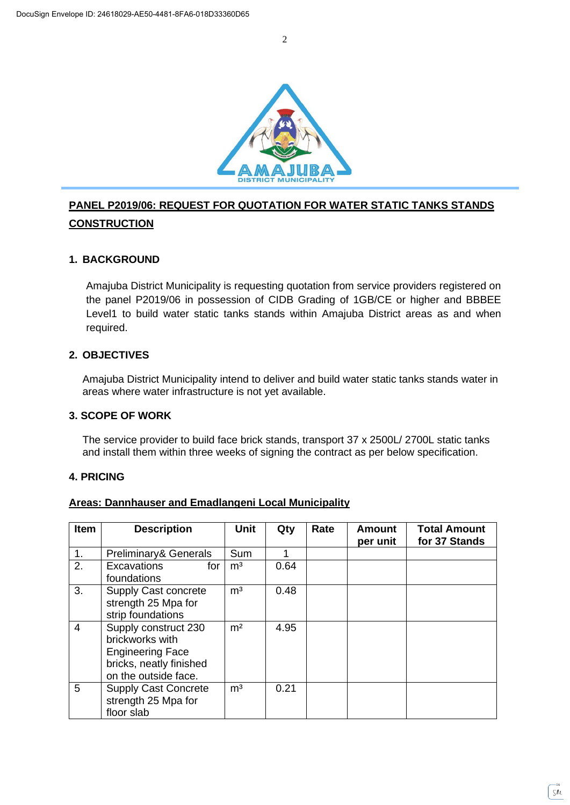

# **PANEL P2019/06: REQUEST FOR QUOTATION FOR WATER STATIC TANKS STANDS CONSTRUCTION**

## **1. BACKGROUND**

Amajuba District Municipality is requesting quotation from service providers registered on the panel P2019/06 in possession of CIDB Grading of 1GB/CE or higher and BBBEE Level1 to build water static tanks stands within Amajuba District areas as and when required.

## **2. OBJECTIVES**

Amajuba District Municipality intend to deliver and build water static tanks stands water in areas where water infrastructure is not yet available.

#### **3. SCOPE OF WORK**

The service provider to build face brick stands, transport 37 x 2500L/ 2700L static tanks and install them within three weeks of signing the contract as per below specification.

## **4. PRICING**

#### **Areas: Dannhauser and Emadlangeni Local Municipality**

| <b>Item</b>    | <b>Description</b>                                                                                                    | <b>Unit</b>    | Qty  | Rate | <b>Amount</b><br>per unit | <b>Total Amount</b><br>for 37 Stands |
|----------------|-----------------------------------------------------------------------------------------------------------------------|----------------|------|------|---------------------------|--------------------------------------|
| $\mathbf{1}$ . | Preliminary& Generals                                                                                                 | Sum            |      |      |                           |                                      |
| 2.             | <b>Excavations</b><br>for<br>foundations                                                                              | m <sup>3</sup> | 0.64 |      |                           |                                      |
| 3.             | Supply Cast concrete<br>strength 25 Mpa for<br>strip foundations                                                      | m <sup>3</sup> | 0.48 |      |                           |                                      |
| $\overline{4}$ | Supply construct 230<br>brickworks with<br><b>Engineering Face</b><br>bricks, neatly finished<br>on the outside face. | m <sup>2</sup> | 4.95 |      |                           |                                      |
| 5              | <b>Supply Cast Concrete</b><br>strength 25 Mpa for<br>floor slab                                                      | m <sup>3</sup> | 0.21 |      |                           |                                      |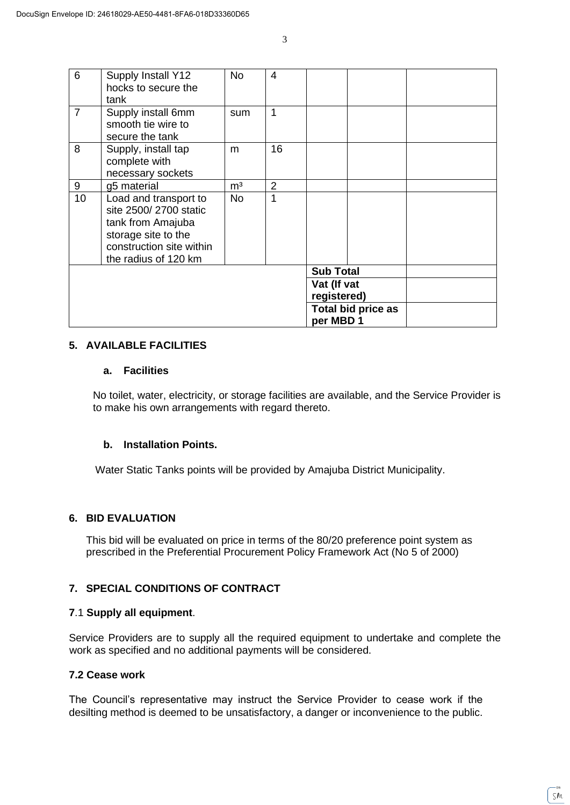| 6              | Supply Install Y12<br>hocks to secure the | No             | 4              |  |                    |  |
|----------------|-------------------------------------------|----------------|----------------|--|--------------------|--|
|                | tank                                      |                |                |  |                    |  |
| $\overline{7}$ | Supply install 6mm                        | sum            | 1              |  |                    |  |
|                | smooth tie wire to                        |                |                |  |                    |  |
|                | secure the tank                           |                |                |  |                    |  |
| 8              | Supply, install tap                       | m              | 16             |  |                    |  |
|                | complete with                             |                |                |  |                    |  |
|                | necessary sockets                         |                |                |  |                    |  |
| 9              | g5 material                               | m <sup>3</sup> | $\overline{2}$ |  |                    |  |
| 10             | Load and transport to                     | <b>No</b>      | 1              |  |                    |  |
|                | site 2500/2700 static                     |                |                |  |                    |  |
|                | tank from Amajuba                         |                |                |  |                    |  |
|                | storage site to the                       |                |                |  |                    |  |
|                | construction site within                  |                |                |  |                    |  |
|                | the radius of 120 km                      |                |                |  |                    |  |
|                |                                           |                |                |  | <b>Sub Total</b>   |  |
|                |                                           |                | Vat (If vat    |  |                    |  |
|                |                                           |                |                |  | registered)        |  |
|                |                                           |                |                |  | Total bid price as |  |
|                |                                           | per MBD 1      |                |  |                    |  |

#### **5. AVAILABLE FACILITIES**

#### **a. Facilities**

No toilet, water, electricity, or storage facilities are available, and the Service Provider is to make his own arrangements with regard thereto.

## **b. Installation Points.**

Water Static Tanks points will be provided by Amajuba District Municipality.

## **6. BID EVALUATION**

This bid will be evaluated on price in terms of the 80/20 preference point system as prescribed in the Preferential Procurement Policy Framework Act (No 5 of 2000)

# **7. SPECIAL CONDITIONS OF CONTRACT**

#### **7**.1 **Supply all equipment**.

Service Providers are to supply all the required equipment to undertake and complete the work as specified and no additional payments will be considered.

# **7.2 Cease work**

The Council's representative may instruct the Service Provider to cease work if the desilting method is deemed to be unsatisfactory, a danger or inconvenience to the public.